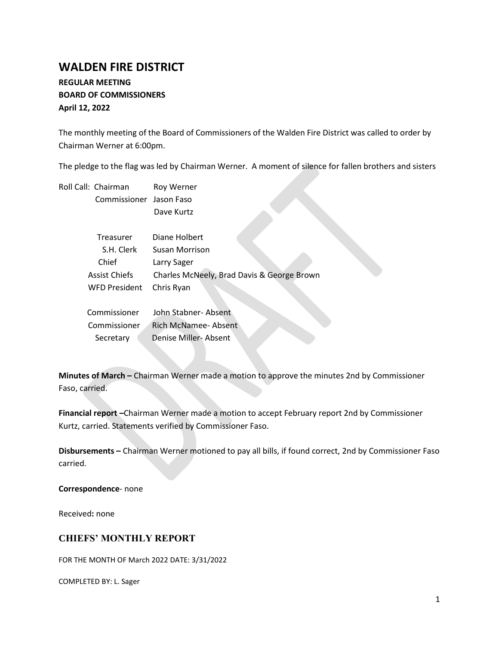# **WALDEN FIRE DISTRICT**

## **REGULAR MEETING BOARD OF COMMISSIONERS April 12, 2022**

The monthly meeting of the Board of Commissioners of the Walden Fire District was called to order by Chairman Werner at 6:00pm.

The pledge to the flag was led by Chairman Werner. A moment of silence for fallen brothers and sisters

| Roll Call: Chairman     | Roy Werner                                 |
|-------------------------|--------------------------------------------|
| Commissioner Jason Faso |                                            |
|                         | Dave Kurtz                                 |
| Treasurer               | Diane Holbert                              |
| S.H. Clerk              | <b>Susan Morrison</b>                      |
| Chief                   | Larry Sager                                |
| <b>Assist Chiefs</b>    | Charles McNeely, Brad Davis & George Brown |
| <b>WFD President</b>    | Chris Ryan                                 |
| Commissioner            | John Stabner-Absent                        |
| Commissioner            | Rich McNamee-Absent                        |

Secretary Denise Miller-Absent

**Minutes of March –** Chairman Werner made a motion to approve the minutes 2nd by Commissioner Faso, carried.

**Financial report –**Chairman Werner made a motion to accept February report 2nd by Commissioner Kurtz, carried. Statements verified by Commissioner Faso.

**Disbursements –** Chairman Werner motioned to pay all bills, if found correct, 2nd by Commissioner Faso carried.

**Correspondence**- none

Received**:** none

## **CHIEFS' MONTHLY REPORT**

FOR THE MONTH OF March 2022 DATE: 3/31/2022

COMPLETED BY: L. Sager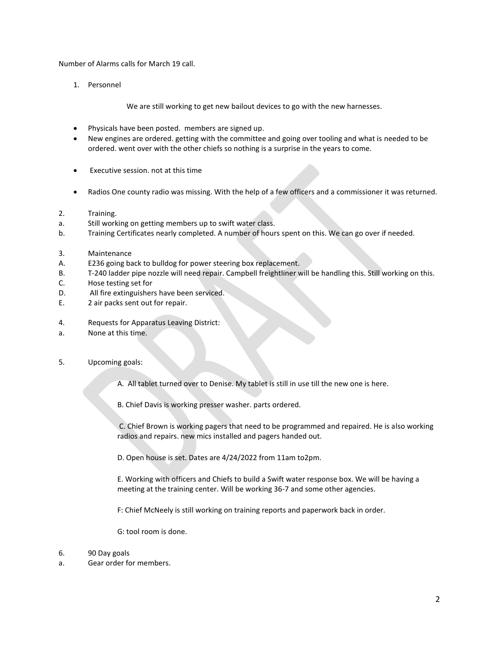Number of Alarms calls for March 19 call.

1. Personnel

We are still working to get new bailout devices to go with the new harnesses.

- Physicals have been posted. members are signed up.
- New engines are ordered. getting with the committee and going over tooling and what is needed to be ordered. went over with the other chiefs so nothing is a surprise in the years to come.
- Executive session. not at this time
- Radios One county radio was missing. With the help of a few officers and a commissioner it was returned.
- 2. Training.
- a. Still working on getting members up to swift water class.
- b. Training Certificates nearly completed. A number of hours spent on this. We can go over if needed.
- 3. Maintenance
- A. E236 going back to bulldog for power steering box replacement.
- B. T-240 ladder pipe nozzle will need repair. Campbell freightliner will be handling this. Still working on this.
- C. Hose testing set for
- D. All fire extinguishers have been serviced.
- E. 2 air packs sent out for repair.
- 4. Requests for Apparatus Leaving District:
- a. None at this time.
- 5. Upcoming goals:

A. All tablet turned over to Denise. My tablet is still in use till the new one is here.

B. Chief Davis is working presser washer. parts ordered.

C. Chief Brown is working pagers that need to be programmed and repaired. He is also working radios and repairs. new mics installed and pagers handed out.

D. Open house is set. Dates are 4/24/2022 from 11am to2pm.

E. Working with officers and Chiefs to build a Swift water response box. We will be having a meeting at the training center. Will be working 36-7 and some other agencies.

F: Chief McNeely is still working on training reports and paperwork back in order.

G: tool room is done.

- 6. 90 Day goals
- a. Gear order for members.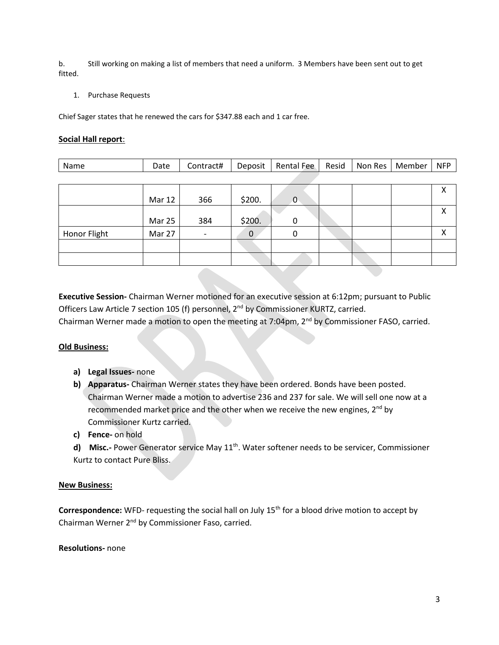b. Still working on making a list of members that need a uniform. 3 Members have been sent out to get fitted.

#### 1. Purchase Requests

Chief Sager states that he renewed the cars for \$347.88 each and 1 car free.

#### **Social Hall report**:

| Name | Date | Contract# | Deposit | Rental Fee | Resid | Non Res | Member | <b>NFP</b> |
|------|------|-----------|---------|------------|-------|---------|--------|------------|
|      |      |           |         |            |       |         |        |            |

|              | <b>Mar 12</b> | 366                      | \$200. | 0 |  | v<br>́            |
|--------------|---------------|--------------------------|--------|---|--|-------------------|
|              | <b>Mar 25</b> | 384                      | \$200. | 0 |  | $\checkmark$<br>↗ |
| Honor Flight | Mar 27        | $\overline{\phantom{0}}$ | 0      | 0 |  | ν                 |
|              |               |                          |        |   |  |                   |
|              |               |                          |        |   |  |                   |

**Executive Session-** Chairman Werner motioned for an executive session at 6:12pm; pursuant to Public Officers Law Article 7 section 105 (f) personnel, 2nd by Commissioner KURTZ, carried. Chairman Werner made a motion to open the meeting at 7:04pm, 2<sup>nd</sup> by Commissioner FASO, carried.

#### **Old Business:**

- **a) Legal Issues-** none
- **b) Apparatus-** Chairman Werner states they have been ordered. Bonds have been posted. Chairman Werner made a motion to advertise 236 and 237 for sale. We will sell one now at a recommended market price and the other when we receive the new engines,  $2^{nd}$  by Commissioner Kurtz carried.
- **c) Fence-** on hold
- d) Misc.- Power Generator service May 11<sup>th</sup>. Water softener needs to be servicer, Commissioner Kurtz to contact Pure Bliss.

#### **New Business:**

Correspondence: WFD- requesting the social hall on July 15<sup>th</sup> for a blood drive motion to accept by Chairman Werner 2nd by Commissioner Faso, carried.

**Resolutions-** none